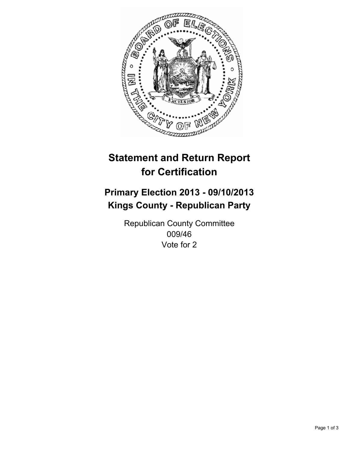

# **Statement and Return Report for Certification**

# **Primary Election 2013 - 09/10/2013 Kings County - Republican Party**

Republican County Committee 009/46 Vote for 2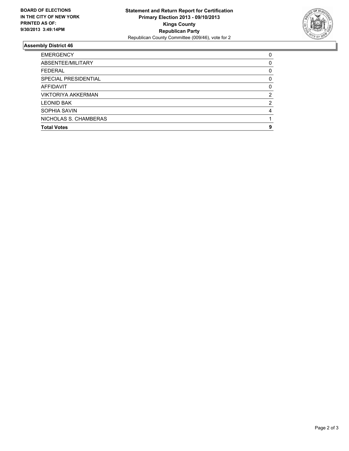

## **Assembly District 46**

| <b>EMERGENCY</b>          | 0 |
|---------------------------|---|
| ABSENTEE/MILITARY         | 0 |
| <b>FEDERAL</b>            | 0 |
| SPECIAL PRESIDENTIAL      | 0 |
| AFFIDAVIT                 | 0 |
| <b>VIKTORIYA AKKERMAN</b> | 2 |
| <b>LEONID BAK</b>         | 2 |
| SOPHIA SAVIN              | 4 |
| NICHOLAS S. CHAMBERAS     |   |
| <b>Total Votes</b>        | 9 |